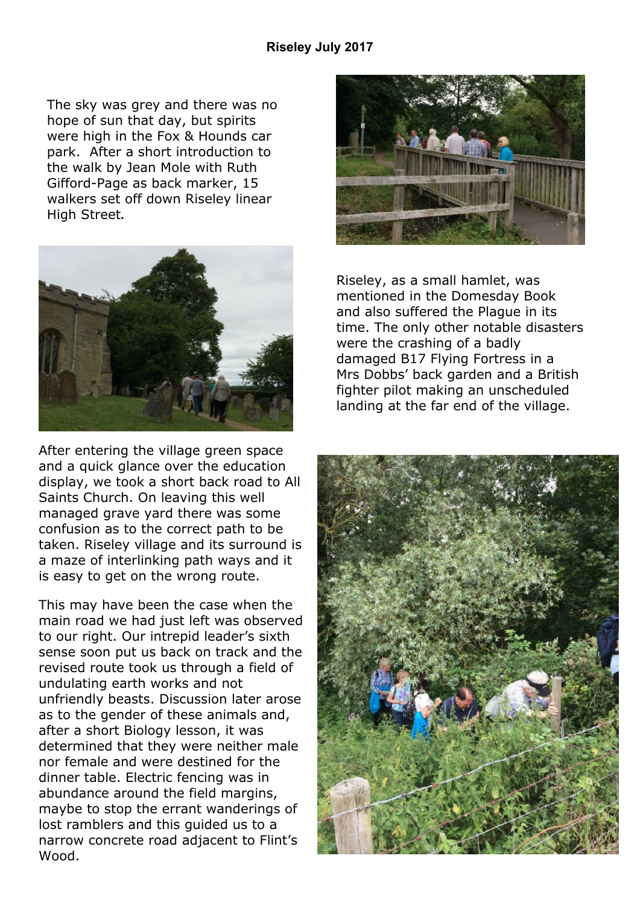The sky was grey and there was no hope of sun that day, but spirits were high in the Fox & Hounds car park. After a short introduction to the walk by Jean Mole with Ruth Gifford-Page as back marker, 15 walkers set off down Riseley linear High Street**.**



After entering the village green space and a quick glance over the education display, we took a short back road to All Saints Church. On leaving this well managed grave yard there was some confusion as to the correct path to be taken. Riseley village and its surround is a maze of interlinking path ways and it is easy to get on the wrong route.

This may have been the case when the main road we had just left was observed to our right. Our intrepid leader's sixth sense soon put us back on track and the revised route took us through a field of undulating earth works and not unfriendly beasts. Discussion later arose as to the gender of these animals and, after a short Biology lesson, it was determined that they were neither male nor female and were destined for the dinner table. Electric fencing was in abundance around the field margins, maybe to stop the errant wanderings of lost ramblers and this guided us to a narrow concrete road adjacent to Flint's Wood.



Riseley, as a small hamlet, was mentioned in the Domesday Book and also suffered the Plague in its time. The only other notable disasters were the crashing of a badly damaged B17 Flying Fortress in a Mrs Dobbs' back garden and a British fighter pilot making an unscheduled landing at the far end of the village.